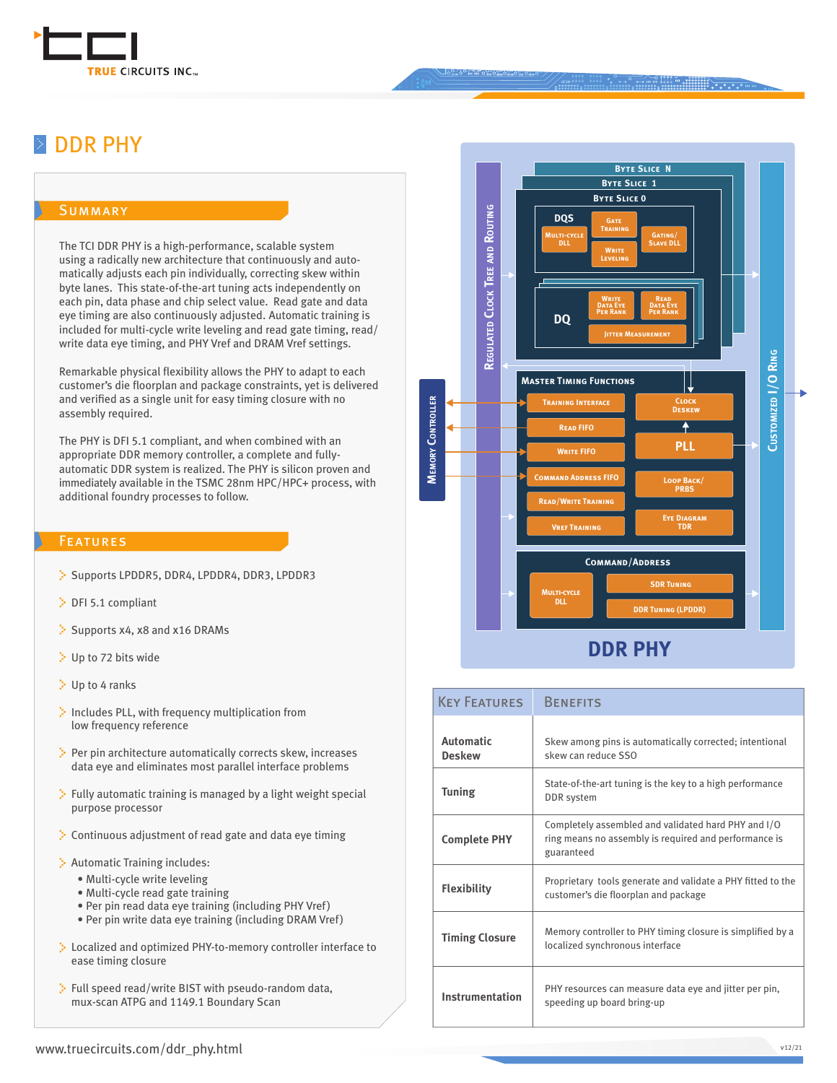

#### ........ DDR PHY

#### **SUMMARY**

The TCI DDR PHY is a high-performance, scalable system using a radically new architecture that continuously and automatically adjusts each pin individually, correcting skew within byte lanes. This state-of-the-art tuning acts independently on each pin, data phase and chip select value. Read gate and data eye timing are also continuously adjusted. Automatic training is included for multi-cycle write leveling and read gate timing, read/ write data eye timing, and PHY Vref and DRAM Vref settings.

Remarkable physical flexibility allows the PHY to adapt to each customer's die floorplan and package constraints, yet is delivered and verified as a single unit for easy timing closure with no assembly required.

The PHY is DFI 5.1 compliant, and when combined with an appropriate DDR memory controller, a complete and fullyautomatic DDR system is realized. The PHY is silicon proven and immediately available in the TSMC 28nm HPC/HPC+ process, with additional foundry processes to follow.

#### **FEATURES**

- Supports LPDDR5, DDR4, LPDDR4, DDR3, LPDDR3
- DFI 5.1 compliant
- $\therefore$  Supports x4, x8 and x16 DRAMs
- Up to 72 bits wide
- Up to 4 ranks
- $\therefore$  Includes PLL, with frequency multiplication from low frequency reference
- $\therefore$  Per pin architecture automatically corrects skew, increases data eye and eliminates most parallel interface problems
- $\ddot{\cdot}$  Fully automatic training is managed by a light weight special purpose processor
- $\therefore$  Continuous adjustment of read gate and data eye timing
- Automatic Training includes:
	- Multi-cycle write leveling
	- Multi-cycle read gate training
	- Per pin read data eye training (including PHY Vref)
	- Per pin write data eye training (including DRAM Vref)
- Localized and optimized PHY-to-memory controller interface to ease timing closure
- Full speed read/write BIST with pseudo-random data, mux-scan ATPG and 1149.1 Boundary Scan



| <b>KEY FEATURES</b>               | <b>BENEFITS</b>                                                                                                            |
|-----------------------------------|----------------------------------------------------------------------------------------------------------------------------|
| <b>Automatic</b><br><b>Deskew</b> | Skew among pins is automatically corrected; intentional<br>skew can reduce SSO                                             |
| <b>Tuning</b>                     | State-of-the-art tuning is the key to a high performance<br>DDR system                                                     |
| <b>Complete PHY</b>               | Completely assembled and validated hard PHY and I/O<br>ring means no assembly is required and performance is<br>guaranteed |
| <b>Flexibility</b>                | Proprietary tools generate and validate a PHY fitted to the<br>customer's die floorplan and package                        |
| <b>Timing Closure</b>             | Memory controller to PHY timing closure is simplified by a<br>localized synchronous interface                              |
| Instrumentation                   | PHY resources can measure data eye and jitter per pin,<br>speeding up board bring-up                                       |